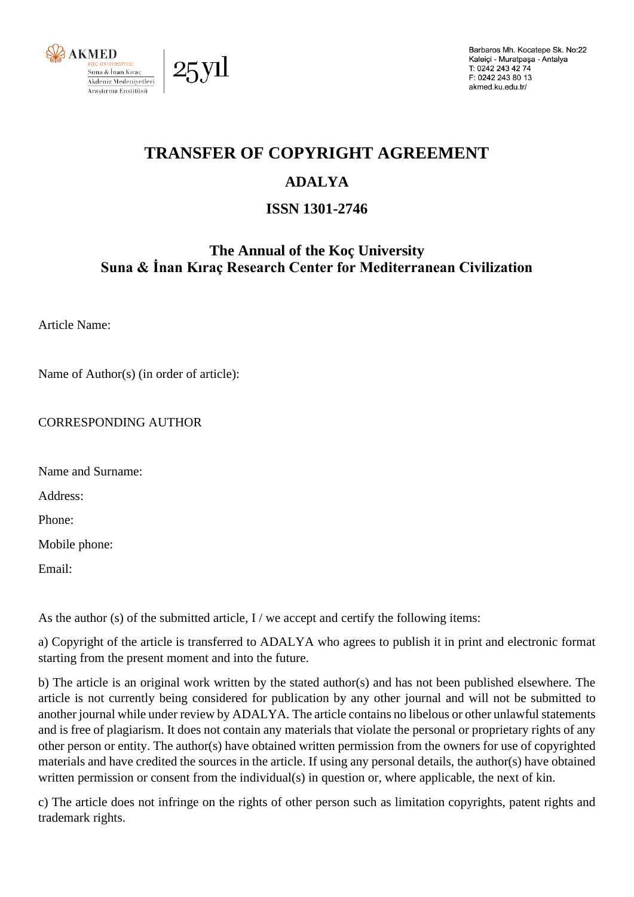

Barbaros Mh. Kocatepe Sk. No:22 Kaleiçi - Muratpaşa - Antalya T: 0242 243 42 74 F: 0242 243 80 13 akmed.ku.edu.tr/

# **TRANSFER OF COPYRIGHT AGREEMENT**

## **ADALYA**

## **ISSN 1301-2746**

### **The Annual of the Koç University Suna & İnan Kıraç Research Center for Mediterranean Civilization**

Article Name:

Name of Author(s) (in order of article):

#### CORRESPONDING AUTHOR

Name and Surname:

Address:

Phone:

Mobile phone:

Email:

As the author (s) of the submitted article,  $I /$  we accept and certify the following items:

a) Copyright of the article is transferred to ADALYA who agrees to publish it in print and electronic format starting from the present moment and into the future.

b) The article is an original work written by the stated author(s) and has not been published elsewhere. The article is not currently being considered for publication by any other journal and will not be submitted to another journal while under review by ADALYA. The article contains no libelous or other unlawful statements and is free of plagiarism. It does not contain any materials that violate the personal or proprietary rights of any other person or entity. The author(s) have obtained written permission from the owners for use of copyrighted materials and have credited the sources in the article. If using any personal details, the author(s) have obtained written permission or consent from the individual(s) in question or, where applicable, the next of kin.

c) The article does not infringe on the rights of other person such as limitation copyrights, patent rights and trademark rights.